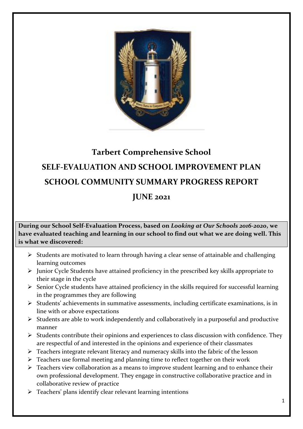

# **Tarbert Comprehensive School SELF-EVALUATION AND SCHOOL IMPROVEMENT PLAN SCHOOL COMMUNITY SUMMARY PROGRESS REPORT JUNE 2021**

**During our School Self-Evaluation Process, based on** *Looking at Our Schools 2016-2020***, we have evaluated teaching and learning in our school to find out what we are doing well. This is what we discovered:** 

- ➢ Students are motivated to learn through having a clear sense of attainable and challenging learning outcomes
- ➢ Junior Cycle Students have attained proficiency in the prescribed key skills appropriate to their stage in the cycle
- $\triangleright$  Senior Cycle students have attained proficiency in the skills required for successful learning in the programmes they are following
- ➢ Students' achievements in summative assessments, including certificate examinations, is in line with or above expectations
- ➢ Students are able to work independently and collaboratively in a purposeful and productive manner
- ➢ Students contribute their opinions and experiences to class discussion with confidence. They are respectful of and interested in the opinions and experience of their classmates
- ➢ Teachers integrate relevant literacy and numeracy skills into the fabric of the lesson
- $\triangleright$  Teachers use formal meeting and planning time to reflect together on their work
- ➢ Teachers view collaboration as a means to improve student learning and to enhance their own professional development. They engage in constructive collaborative practice and in collaborative review of practice
- ➢ Teachers' plans identify clear relevant learning intentions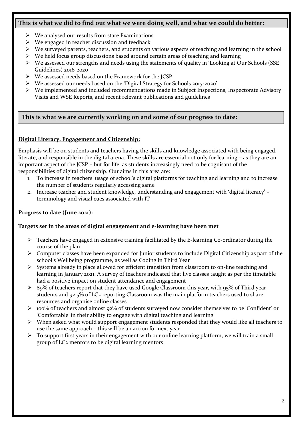#### **This is what we did to find out what we were doing well, and what we could do better:**

- $\triangleright$  We analysed our results from state Examinations
- $\triangleright$  We engaged in teacher discussion and feedback
- ➢ We surveyed parents, teachers, and students on various aspects of teaching and learning in the school
- $\triangleright$  We held focus group discussions based around certain areas of teaching and learning
- ➢ We assessed our strengths and needs using the statements of quality in 'Looking at Our Schools (SSE Guidelines) 2016-2020
- ➢ We assessed needs based on the Framework for the JCSP
- ➢ We assessed our needs based on the 'Digital Strategy for Schools 2015-2020'
- ➢ We implemented and included recommendations made in Subject Inspections, Inspectorate Advisory Visits and WSE Reports, and recent relevant publications and guidelines

# **This is what we are currently working on and some of our progress to date:**

## **Digital Literacy, Engagement and Citizenship:**

Emphasis will be on students and teachers having the skills and knowledge associated with being engaged, literate, and responsible in the digital arena. These skills are essential not only for learning – as they are an important aspect of the JCSP – but for life, as students increasingly need to be cognisant of the responsibilities of digital citizenship. Our aims in this area are:

- 1. To increase in teachers' usage of school's digital platforms for teaching and learning and to increase the number of students regularly accessing same
- 2. Increase teacher and student knowledge, understanding and engagement with 'digital literacy' terminology and visual cues associated with IT

#### **Progress to date (June 2021):**

## **Targets set in the areas of digital engagement and e-learning have been met**

- ➢ Teachers have engaged in extensive training facilitated by the E-learning Co-ordinator during the course of the plan
- ➢ Computer classes have been expanded for Junior students to include Digital Citizenship as part of the school's Wellbeing programme, as well as Coding in Third Year
- ➢ Systems already in place allowed for efficient transition from classroom to on-line teaching and learning in January 2021. A survey of teachers indicated that live classes taught as per the timetable had a positive impact on student attendance and engagement
- $\triangleright$  89% of teachers report that they have used Google Classroom this year, with 95% of Third year students and 92.5% of LC2 reporting Classroom was the main platform teachers used to share resources and organise online classes
- ➢ 100% of teachers and almost 92% of students surveyed now consider themselves to be 'Confident' or 'Comfortable' in their ability to engage with digital teaching and learning
- $\triangleright$  When asked what would support engagement students responded that they would like all teachers to use the same approach – this will be an action for next year
- $\triangleright$  To support first years in their engagement with our online learning platform, we will train a small group of LC2 mentors to be digital learning mentors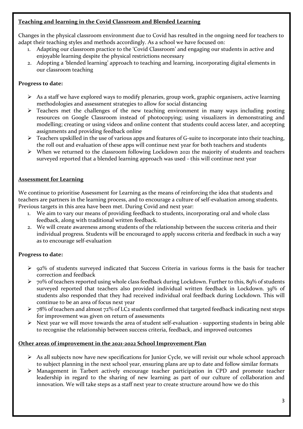## **Teaching and learning in the Covid Classroom and Blended Learning**

Changes in the physical classroom environment due to Covid has resulted in the ongoing need for teachers to adapt their teaching styles and methods accordingly. As a school we have focused on:

- 1. Adapting our classroom practice to the 'Covid Classroom' and engaging our students in active and enjoyable learning despite the physical restrictions necessary
- 2. Adopting a 'blended learning' approach to teaching and learning, incorporating digital elements in our classroom teaching

# **Progress to date:**

- ➢ As a staff we have explored ways to modify plenaries, group work, graphic organisers, active learning methodologies and assessment strategies to allow for social distancing
- $\triangleright$  Teachers met the challenges of the new teaching environment in many ways including posting resources on Google Classroom instead of photocopying; using visualizers in demonstrating and modelling; creating or using videos and online content that students could access later, and accepting assignments and providing feedback online
- ➢ Teachers upskilled in the use of various apps and features of G-suite to incorporate into their teaching, the roll out and evaluation of these apps will continue next year for both teachers and students
- ➢ When we returned to the classroom following Lockdown 2021 the majority of students and teachers surveyed reported that a blended learning approach was used - this will continue next year

## **Assessment for Learning**

We continue to prioritise Assessment for Learning as the means of reinforcing the idea that students and teachers are partners in the learning process, and to encourage a culture of self-evaluation among students. Previous targets in this area have been met. During Covid and next year:

- 1. We aim to vary our means of providing feedback to students, incorporating oral and whole class feedback, along with traditional written feedback.
- 2. We will create awareness among students of the relationship between the success criteria and their individual progress. Students will be encouraged to apply success criteria and feedback in such a way as to encourage self-evaluation

# **Progress to date:**

- ➢ 92% of students surveyed indicated that Success Criteria in various forms is the basis for teacher correction and feedback
- $\triangleright$  70% of teachers reported using whole class feedback during Lockdown. Further to this, 89% of students surveyed reported that teachers also provided individual written feedback in Lockdown. 39% of students also responded that they had received individual oral feedback during Lockdown. This will continue to be an area of focus next year
- $>$  78% of teachers and almost 72% of LC2 students confirmed that targeted feedback indicating next steps for improvement was given on return of assessments
- $\triangleright$  Next year we will move towards the area of student self-evaluation supporting students in being able to recognise the relationship between success criteria, feedback, and improved outcomes

## **Other areas of improvement in the 2021-2022 School Improvement Plan**

- $\triangleright$  As all subjects now have new specifications for Junior Cycle, we will revisit our whole school approach to subject planning in the next school year, ensuring plans are up to date and follow similar formats
- ➢ Management in Tarbert actively encourage teacher participation in CPD and promote teacher leadership in regard to the sharing of new learning as part of our culture of collaboration and innovation. We will take steps as a staff next year to create structure around how we do this